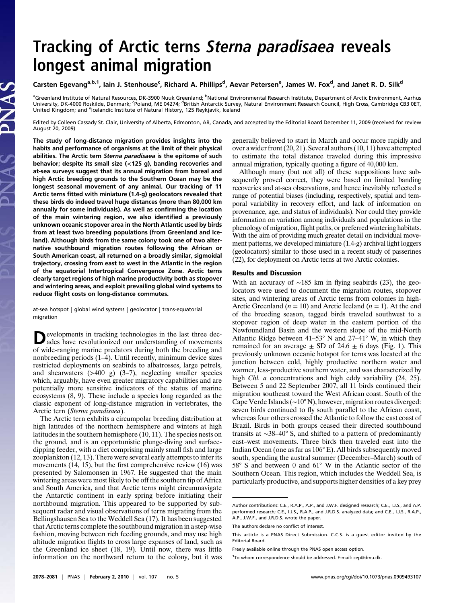# Tracking of Arctic terns Sterna paradisaea reveals<br>longest animal migration

## ے کے کام کر کر دیا ہے کہ اس کے اس کے اس کے اس کے اس کے اس کے اس کے اس کے اس کے اس کے اس کے اس کے اس کے اس کے ا<br>Carsten Egevang<sup>a,b,1</sup>, Iain J. Stenhouse<sup>c</sup>, Richard A. Phillips<sup>d</sup>, Aevar Petersen<sup>e</sup>, James W. Fox<sup>d</sup>, and

<sup>a</sup>Greenland Institute of Natural Resources, DK-3900 Nuuk Greenland; <sup>b</sup>National Environmental Research Institute, Department of Arctic Environment, Aarhus<br>University, DK-4000 Roskilde, Denmark; ʿPoland, ME 04274; <sup>d</sup>Briti United Kingdom; and <sup>e</sup>lcelandic Institute of Natural History, 125 Reykjavik, Iceland

Edited by Colleen Cassady St. Clair, University of Alberta, Edmonton, AB, Canada, and accepted by the Editorial Board December 11, 2009 (received for review August 20, 2009)

The study of long-distance migration provides insights into the habits and performance of organisms at the limit of their physical abilities. The Arctic tern Sterna paradisaea is the epitome of such behavior; despite its small size (<125 g), banding recoveries and at-sea surveys suggest that its annual migration from boreal and high Arctic breeding grounds to the Southern Ocean may be the longest seasonal movement of any animal. Our tracking of 11 Arctic terns fitted with miniature (1.4-g) geolocators revealed that these birds do indeed travel huge distances (more than 80,000 km annually for some individuals). As well as confirming the location of the main wintering region, we also identified a previously unknown oceanic stopover area in the North Atlantic used by birds from at least two breeding populations (from Greenland and Iceland). Although birds from the same colony took one of two alternative southbound migration routes following the African or South American coast, all returned on a broadly similar, sigmoidal trajectory, crossing from east to west in the Atlantic in the region of the equatorial Intertropical Convergence Zone. Arctic terns clearly target regions of high marine productivity both as stopover and wintering areas, and exploit prevailing global wind systems to reduce flight costs on long-distance commutes.

at-sea hotspot | global wind systems | geolocator | trans-equatorial migration

Developments in tracking technologies in the last three dec-ades have revolutionized our understanding of movements of wide-ranging marine predators during both the breeding and nonbreeding periods (1–4). Until recently, minimum device sizes restricted deployments on seabirds to albatrosses, large petrels, and shearwaters (>400 g) (3–7), neglecting smaller species which, arguably, have even greater migratory capabilities and are potentially more sensitive indicators of the status of marine ecosystems (8, 9). These include a species long regarded as the classic exponent of long-distance migration in vertebrates, the Arctic tern (Sterna paradisaea).

The Arctic tern exhibits a circumpolar breeding distribution at high latitudes of the northern hemisphere and winters at high latitudes in the southern hemisphere (10, 11). The species nests on the ground, and is an opportunistic plunge-diving and surfacedipping feeder, with a diet comprising mainly small fish and large zooplankton (12, 13). There were several early attempts to infer its movements (14, 15), but the first comprehensive review (16) was presented by Salomonsen in 1967. He suggested that the main wintering areas were most likely to be off the southern tip of Africa and South America, and that Arctic terns might circumnavigate the Antarctic continent in early spring before initiating their northbound migration. This appeared to be supported by subsequent radar and visual observations of terns migrating from the Bellingshausen Sea to the Weddell Sea (17). It has been suggested that Arctic terns complete the southbound migration in a step-wise fashion, moving between rich feeding grounds, and may use high altitude migration flights to cross large expanses of land, such as the Greenland ice sheet (18, 19). Until now, there was little information on the northward return to the colony, but it was

generally believed to start in March and occur more rapidly and over a wider front (20, 21). Several authors (10, 11) have attempted to estimate the total distance traveled during this impressive annual migration, typically quoting a figure of 40,000 km.

Although many (but not all) of these suppositions have subsequently proved correct, they were based on limited banding recoveries and at-sea observations, and hence inevitably reflected a range of potential biases (including, respectively, spatial and temporal variability in recovery effort, and lack of information on provenance, age, and status of individuals). Nor could they provide information on variation among individuals and populations in the phenology of migration, flight paths, or preferred wintering habitats. With the aim of providing much greater detail on individual movement patterns, we developed miniature (1.4-g) archival light loggers (geolocators) similar to those used in a recent study of passerines (22), for deployment on Arctic terns at two Arctic colonies.

#### Results and Discussion

With an accuracy of ∼185 km in flying seabirds (23), the geolocators were used to document the migration routes, stopover sites, and wintering areas of Arctic terns from colonies in high-Arctic Greenland ( $n = 10$ ) and Arctic Iceland ( $n = 1$ ). At the end of the breeding season, tagged birds traveled southwest to a stopover region of deep water in the eastern portion of the Newfoundland Basin and the western slope of the mid-North Atlantic Ridge between 41–53° N and 27–41° W, in which they remained for an average  $\pm$  SD of 24.6  $\pm$  6 days (Fig. 1). This previously unknown oceanic hotspot for terns was located at the junction between cold, highly productive northern water and warmer, less-productive southern water, and was characterized by high *Chl. a* concentrations and high eddy variability (24, 25). Between 5 and 22 September 2007, all 11 birds continued their migration southeast toward the West African coast. South of the Cape Verde Islands (∼10° N), however, migration routes diverged: seven birds continued to fly south parallel to the African coast, whereas four others crossed the Atlantic to follow the east coast of Brazil. Birds in both groups ceased their directed southbound transits at ∼38–40° S, and shifted to a pattern of predominantly east–west movements. Three birds then traveled east into the Indian Ocean (one as far as 106° E). All birds subsequently moved south, spending the austral summer (December–March) south of 58° S and between 0 and 61° W in the Atlantic sector of the Southern Ocean. This region, which includes the Weddell Sea, is particularly productive, and supports higher densities of a key prey

Author contributions: C.E., R.A.P., A.P., and J.W.F. designed research; C.E., I.J.S., and A.P. performed research; C.E., I.J.S., R.A.P., and J.R.D.S. analyzed data; and C.E., I.J.S., R.A.P., A.P., J.W.F., and J.R.D.S. wrote the paper.

The authors declare no conflict of interest.

This article is a PNAS Direct Submission. C.C.S. is a guest editor invited by the Editorial Board.

Freely available online through the PNAS open access option.

<sup>&</sup>lt;sup>1</sup>To whom correspondence should be addressed. E-mail: [cep@dmu.dk.](mailto:cep@dmu.dk.)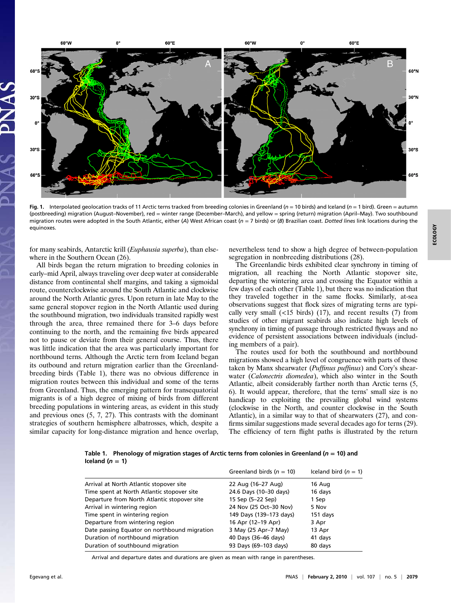

Fig. 1. Interpolated geolocation tracks of 11 Arctic terns tracked from breeding colonies in Greenland ( $n = 10$  birds) and Iceland ( $n = 1$  bird). Green = autumn (postbreeding) migration (August–November), red = winter range (December–March), and yellow = spring (return) migration (April–May). Two southbound migration routes were adopted in the South Atlantic, either (A) West African coast ( $n = 7$  birds) or (B) Brazilian coast. Dotted lines link locations during the equinoxes.

for many seabirds, Antarctic krill (Euphausia superba), than elsewhere in the Southern Ocean (26).

All birds began the return migration to breeding colonies in early–mid April, always traveling over deep water at considerable distance from continental shelf margins, and taking a sigmoidal route, counterclockwise around the South Atlantic and clockwise around the North Atlantic gyres. Upon return in late May to the same general stopover region in the North Atlantic used during the southbound migration, two individuals transited rapidly west through the area, three remained there for 3–6 days before continuing to the north, and the remaining five birds appeared not to pause or deviate from their general course. Thus, there was little indication that the area was particularly important for northbound terns. Although the Arctic tern from Iceland began its outbound and return migration earlier than the Greenlandbreeding birds (Table 1), there was no obvious difference in migration routes between this individual and some of the terns from Greenland. Thus, the emerging pattern for transequatorial migrants is of a high degree of mixing of birds from different breeding populations in wintering areas, as evident in this study and previous ones (5, 7, 27). This contrasts with the dominant strategies of southern hemisphere albatrosses, which, despite a similar capacity for long-distance migration and hence overlap,

nevertheless tend to show a high degree of between-population segregation in nonbreeding distributions (28).

The Greenlandic birds exhibited clear synchrony in timing of migration, all reaching the North Atlantic stopover site, departing the wintering area and crossing the Equator within a few days of each other (Table 1), but there was no indication that they traveled together in the same flocks. Similarly, at-sea observations suggest that flock sizes of migrating terns are typically very small  $(\langle 15 \rangle)$  birds)  $(17)$ , and recent results  $(7)$  from studies of other migrant seabirds also indicate high levels of synchrony in timing of passage through restricted flyways and no evidence of persistent associations between individuals (including members of a pair).

The routes used for both the southbound and northbound migrations showed a high level of congruence with parts of those taken by Manx shearwater (Puffinus puffinus) and Cory's shearwater (Calonectris diomedea), which also winter in the South Atlantic, albeit considerably farther north than Arctic terns (5, 6). It would appear, therefore, that the terns' small size is no handicap to exploiting the prevailing global wind systems (clockwise in the North, and counter clockwise in the South Atlantic), in a similar way to that of shearwaters (27), and confirms similar suggestions made several decades ago for terns (29). The efficiency of tern flight paths is illustrated by the return

Table 1. Phenology of migration stages of Arctic terns from colonies in Greenland ( $n = 10$ ) and Iceland  $(n = 1)$ 

|                                              | Greenland birds ( $n = 10$ ) | Iceland bird $(n = 1)$ |
|----------------------------------------------|------------------------------|------------------------|
| Arrival at North Atlantic stopover site      | 22 Aug (16-27 Aug)           | 16 Aug                 |
| Time spent at North Atlantic stopover site   | 24.6 Days (10-30 days)       | 16 days                |
| Departure from North Atlantic stopover site  | 15 Sep (5-22 Sep)            | 1 Sep                  |
| Arrival in wintering region                  | 24 Nov (25 Oct-30 Nov)       | 5 Nov                  |
| Time spent in wintering region               | 149 Days (139-173 days)      | 151 days               |
| Departure from wintering region              | 16 Apr (12-19 Apr)           | 3 Apr                  |
| Date passing Equator on northbound migration | 3 May (25 Apr-7 May)         | 13 Apr                 |
| Duration of northbound migration             | 40 Days (36-46 days)         | 41 days                |
| Duration of southbound migration             | 93 Days (69-103 days)        | 80 days                |

Arrival and departure dates and durations are given as mean with range in parentheses.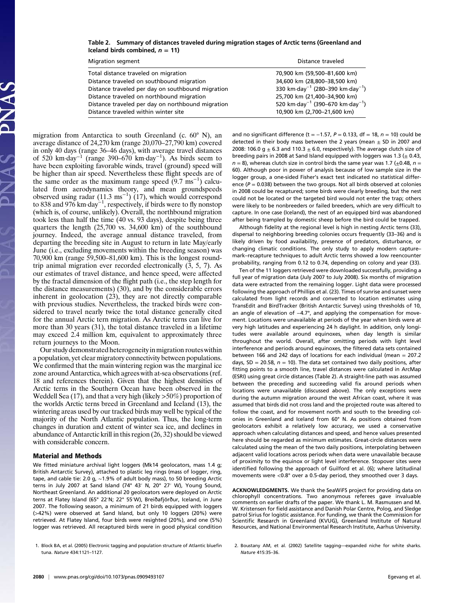#### Table 2. Summary of distances traveled during migration stages of Arctic terns (Greenland and Iceland birds combined,  $n = 11$ )

| <b>Migration segment</b>                          | Distance traveled                                        |  |
|---------------------------------------------------|----------------------------------------------------------|--|
| Total distance traveled on migration              | 70,900 km (59,500-81,600 km)                             |  |
| Distance traveled on southbound migration         | 34,600 km (28,800-38,500 km)                             |  |
| Distance traveled per day on southbound migration | 330 km·day <sup>-1</sup> (280-390 km·day <sup>-1</sup> ) |  |
| Distance traveled on northbound migration         | 25,700 km (21,400-34,900 km)                             |  |
| Distance traveled per day on northbound migration | 520 km day <sup>-1</sup> (390-670 km day <sup>-1</sup> ) |  |
| Distance traveled within winter site              | 10,900 km (2,700-21,600 km)                              |  |

migration from Antarctica to south Greenland (c. 60° N), an average distance of 24,270 km (range 20,070–27,790 km) covered in only 40 days (range 36–46 days), with average travel distances of 520 km·day<sup>-1</sup> (range 390–670 km·day<sup>-1</sup>). As birds seem to have been exploiting favorable winds, travel (ground) speed will be higher than air speed. Nevertheless these flight speeds are of the same order as the maximum range speed  $(9.7 \text{ ms}^{-1})$  calculated from aerodynamics theory, and mean groundspeeds observed using radar (11.3 ms<sup>-1</sup>) (17), which would correspond to 838 and 976 km·day<sup>-1</sup>, respectively, if birds were to fly nonstop (which is, of course, unlikely). Overall, the northbound migration took less than half the time (40 vs. 93 days), despite being three quarters the length (25,700 vs. 34,600 km) of the southbound journey. Indeed, the average annual distance traveled, from departing the breeding site in August to return in late May/early June (i.e., excluding movements within the breeding season) was 70,900 km (range 59,500–81,600 km). This is the longest roundtrip animal migration ever recorded electronically (3, 5, 7). As our estimates of travel distance, and hence speed, were affected by the fractal dimension of the flight path (i.e., the step length for the distance measurements) (30), and by the considerable errors inherent in geolocation (23), they are not directly comparable with previous studies. Nevertheless, the tracked birds were considered to travel nearly twice the total distance generally cited for the annual Arctic tern migration. As Arctic terns can live for more than 30 years (31), the total distance traveled in a lifetime may exceed 2.4 million km, equivalent to approximately three return journeys to the Moon.

Our study demonstrated heterogeneity in migration routes within a population, yet clear migratory connectivity between populations. We confirmed that the main wintering region was the marginal ice zone around Antarctica, which agrees with at-sea observations (ref. 18 and references therein). Given that the highest densities of Arctic terns in the Southern Ocean have been observed in the Weddell Sea (17), and that a very high (likely >50%) proportion of the worlds Arctic terns breed in Greenland and Iceland (13), the wintering areas used by our tracked birds may well be typical of the majority of the North Atlantic population. Thus, the long-term changes in duration and extent of winter sea ice, and declines in abundance of Antarctic krill in this region (26, 32) should be viewed with considerable concern.

### Material and Methods

We fitted miniature archival light loggers (Mk14 geolocators, mass 1.4 g; British Antarctic Survey), attached to plastic leg rings (mass of logger, ring, tape, and cable tie: 2.0 g, ∼1.9% of adult body mass), to 50 breeding Arctic terns in July 2007 at Sand Island (74° 43′ N, 20° 27′ W), Young Sound, Northeast Greenland. An additional 20 geolocators were deployed on Arctic terns at Flatey Island (65° 22′N; 22° 55′W), Breiðafjörður, Iceland, in June 2007. The following season, a minimum of 21 birds equipped with loggers (>42%) were observed at Sand Island, but only 10 loggers (20%) were retrieved. At Flatey Island, four birds were resighted (20%), and one (5%) logger was retrieved. All recaptured birds were in good physical condition

1. Block BA, et al. (2005) Electronic tagging and population structure of Atlantic bluefin tuna. Nature 434:1121–1127.

and no significant difference (t = -1.57,  $P = 0.133$ , df = 18,  $n = 10$ ) could be detected in their body mass between the 2 years (mean  $\pm$  SD in 2007 and 2008: 106.0 g  $\pm$  6.3 and 110.3  $\pm$  6.0, respectively). The average clutch size of breeding pairs in 2008 at Sand Island equipped with loggers was 1.3 ( $\pm$  0.43,  $n = 8$ ), whereas clutch size in control birds the same year was 1.7 ( $\pm$ 0.48,  $n =$ 60). Although poor in power of analysis because of low sample size in the logger group, a one-sided Fisher's exact test indicated no statistical difference ( $P = 0.038$ ) between the two groups. Not all birds observed at colonies in 2008 could be recaptured; some birds were clearly breeding, but the nest could not be located or the targeted bird would not enter the trap; others were likely to be nonbreeders or failed breeders, which are very difficult to capture. In one case (Iceland), the nest of an equipped bird was abandoned after being trampled by domestic sheep before the bird could be trapped.

Although fidelity at the regional level is high in nesting Arctic terns (33), dispersal to neighboring breeding colonies occurs frequently (33–36) and is likely driven by food availability, presence of predators, disturbance, or changing climatic conditions. The only study to apply modern capture– mark–recapture techniques to adult Arctic terns showed a low reencounter probability, ranging from 0.12 to 0.74, depending on colony and year (33).

Ten of the 11 loggers retrieved were downloaded successfully, providing a full year of migration data (July 2007 to July 2008). Six months of migration data were extracted from the remaining logger. Light data were processed following the approach of Phillips et al. (23). Times of sunrise and sunset were calculated from light records and converted to location estimates using TransEdit and BirdTracker (British Antarctic Survey) using thresholds of 10, an angle of elevation of −4.7°, and applying the compensation for movement. Locations were unavailable at periods of the year when birds were at very high latitudes and experiencing 24 h daylight. In addition, only longitudes were available around equinoxes, when day length is similar throughout the world. Overall, after omitting periods with light level interference and periods around equinoxes, the filtered data sets contained between 166 and 242 days of locations for each individual (mean = 207.2 days, SD = 20.58,  $n = 10$ ). The data set contained two daily positions, after fitting points to a smooth line, travel distances were calculated in ArcMap (ESRI) using great circle distances (Table 2). A straight-line path was assumed between the preceding and succeeding valid fix around periods when locations were unavailable (discussed above). The only exceptions were during the autumn migration around the west African coast, where it was assumed that birds did not cross land and the projected route was altered to follow the coast, and for movement north and south to the breeding colonies in Greenland and Iceland from 60° N. As positions obtained from geolocators exhibit a relatively low accuracy, we used a conservative approach when calculating distances and speed, and hence values presented here should be regarded as minimum estimates. Great-circle distances were calculated using the mean of the two daily positions, interpolating between adjacent valid locations across periods when data were unavailable because of proximity to the equinox or light level interference. Stopover sites were identified following the approach of Guilford et al. (6); where latitudinal movements were <0.8° over a 0.5-day period, they smoothed over 3 days.

ACKNOWLEDGMENTS. We thank the SeaWiFS project for providing data on chlorophyll concentrations. Two anonymous referees gave invaluable comments on earlier drafts of the paper. We thank L. M. Rasmussen and M. W. Kristensen for field assistance and Danish Polar Centre, Polog, and Sledge patrol Sirius for logistic assistance. For funding, we thank the Commission for Scientific Research in Greenland (KVUG), Greenland Institute of Natural Resources, and National Environmental Research Institute, Aarhus University.

2. Boustany AM, et al. (2002) Satellite tagging—expanded niche for white sharks. Nature 415:35–36.